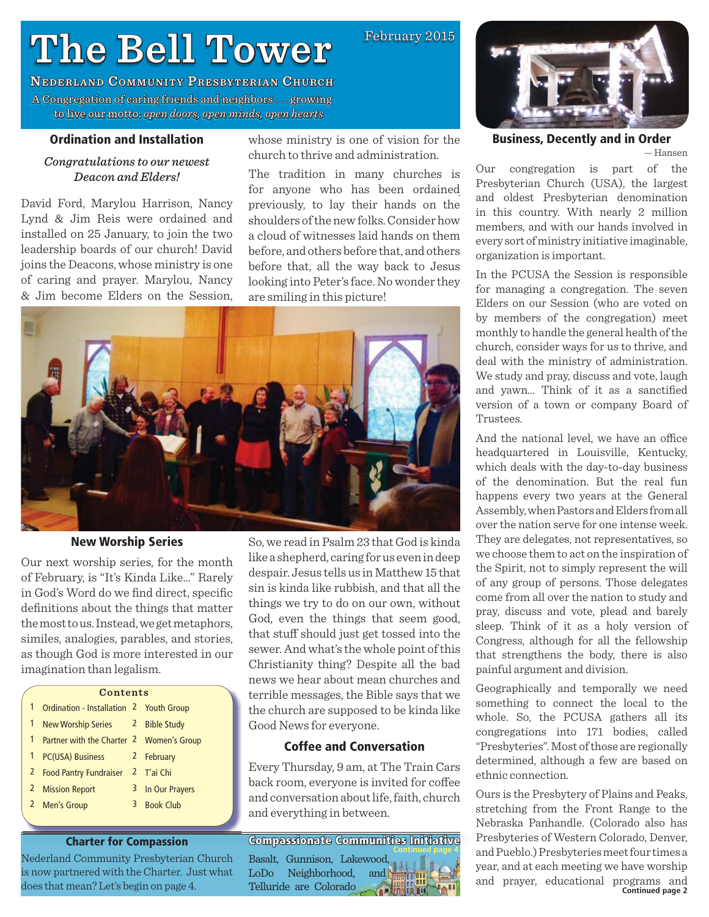# **The Bell Tower he**

**NEDERLAND COMMUNITY PRESBYTERIAN CHURCH** A Congregation of caring friends and neighbors ... growing to live our motto: motto:*open doors, open minds, open hearts*

#### **Ordination and Installation**

#### *Congratulations to our newest Deacon and Elders!*

David Ford, Marylou Harrison, Nancy Lynd & Jim Reis were ordained and installed on 25 January, to join the two leadership boards of our church! David joins the Deacons, whose ministry is one of caring and prayer. Marylou, Nancy & Jim become Elders on the Session,

whose ministry is one of vision for the church to thrive and administration.

February 2015

The tradition in many churches is for anyone who has been ordained previously, to lay their hands on the shoulders of the new folks. Consider how a cloud of witnesses laid hands on them before, and others before that, and others before that, all the way back to Jesus looking into Peter's face. No wonder they are smiling in this picture!



## **New Worship Series**

Our next worship series, for the month of February, is "It's Kinda Like…" Rarely in God's Word do we find direct, specific definitions about the things that matter the most to us. Instead, we get metaphors, similes, analogies, parables, and stories, as though God is more interested in our imagination than legalism.

|   | Contents                                 |   |                  |  |  |
|---|------------------------------------------|---|------------------|--|--|
| 1 | Ordination - Installation 2 Youth Group  |   |                  |  |  |
| 1 | New Worship Series 2 Bible Study         |   |                  |  |  |
| 1 | Partner with the Charter 2 Women's Group |   |                  |  |  |
| 1 | PC(USA) Business                         |   | 2 February       |  |  |
|   | 2 Food Pantry Fundraiser                 |   | 2 T'ai Chi       |  |  |
|   | 2 Mission Report                         | 3 | In Our Prayers   |  |  |
|   | 2 Men's Group                            | 3 | <b>Book Club</b> |  |  |
|   |                                          |   |                  |  |  |

#### **Charter for Compassion**

Nederland Community Presbyterian Church is now partnered with the Charter. Just what does that mean? Let's begin on page 4.

So, we read in Psalm 23 that God is kinda like a shepherd, caring for us even in deep despair. Jesus tells us in Matthew 15 that sin is kinda like rubbish, and that all the things we try to do on our own, without God, even the things that seem good, that stuff should just get tossed into the sewer. And what's the whole point of this Christianity thing? Despite all the bad news we hear about mean churches and terrible messages, the Bible says that we the church are supposed to be kinda like Good News for everyone.

#### **Coffee and Conversation**

Every Thursday, 9 am, at The Train Cars back room, everyone is invited for coffee and conversation about life, faith, church and everything in between.

**Compassionate Communities Initiative ompassionate**  Basalt, Gunnison, Lakewood, LoDo Neighborhood, and Telluride are Colorado **Continued page 4**



#### **Business, Decently and in Order**

— Hansen

Our congregation is part of the Presbyterian Church (USA), the largest and oldest Presbyterian denomination in this country. With nearly 2 million members, and with our hands involved in every sort of ministry initiative imaginable, organization is important.

In the PCUSA the Session is responsible for managing a congregation. The seven Elders on our Session (who are voted on by members of the congregation) meet monthly to handle the general health of the church, consider ways for us to thrive, and deal with the ministry of administration. We study and pray, discuss and vote, laugh and yawn... Think of it as a sanctified version of a town or company Board of Trustees.

And the national level, we have an office headquartered in Louisville, Kentucky, which deals with the day-to-day business of the denomination. But the real fun happens every two years at the General Assembly, when Pastors and Elders from all over the nation serve for one intense week. They are delegates, not representatives, so we choose them to act on the inspiration of the Spirit, not to simply represent the will of any group of persons. Those delegates come from all over the nation to study and pray, discuss and vote, plead and barely sleep. Think of it as a holy version of Congress, although for all the fellowship that strengthens the body, there is also painful argument and division.

Geographically and temporally we need something to connect the local to the whole. So, the PCUSA gathers all its congregations into 171 bodies, called "Presbyteries". Most of those are regionally determined, although a few are based on ethnic connection.

**Continued page 2** Ours is the Presbytery of Plains and Peaks, stretching from the Front Range to the Nebraska Panhandle. (Colorado also has Presbyteries of Western Colorado, Denver, and Pueblo.) Presbyteries meet four times a year, and at each meeting we have worship and prayer, educational programs and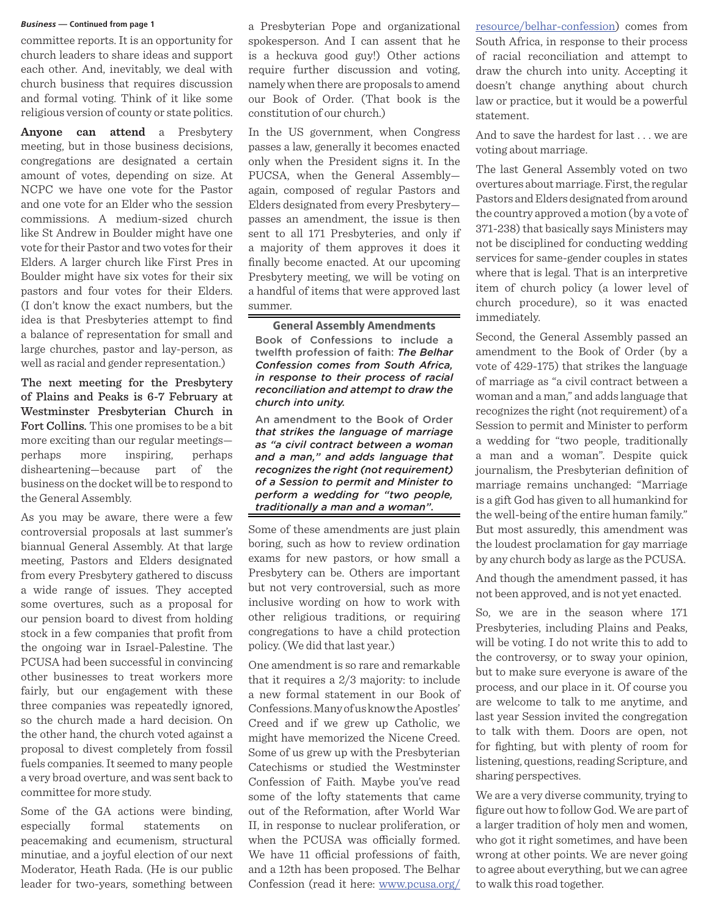committee reports. It is an opportunity for church leaders to share ideas and support each other. And, inevitably, we deal with church business that requires discussion and formal voting. Think of it like some religious version of county or state politics.

**Anyone can attend** a Presbytery meeting, but in those business decisions, congregations are designated a certain amount of votes, depending on size. At NCPC we have one vote for the Pastor and one vote for an Elder who the session commissions. A medium-sized church like St Andrew in Boulder might have one vote for their Pastor and two votes for their Elders. A larger church like First Pres in Boulder might have six votes for their six pastors and four votes for their Elders. (I don't know the exact numbers, but the idea is that Presbyteries attempt to find a balance of representation for small and large churches, pastor and lay-person, as well as racial and gender representation.)

The next meeting for the Presbytery of Plains and Peaks is 6-7 February at Westminster Presbyterian Church in Fort Collins. This one promises to be a bit more exciting than our regular meetings perhaps more inspiring, perhaps disheartening—because part of the business on the docket will be to respond to the General Assembly.

As you may be aware, there were a few controversial proposals at last summer's biannual General Assembly. At that large meeting, Pastors and Elders designated from every Presbytery gathered to discuss a wide range of issues. They accepted some overtures, such as a proposal for our pension board to divest from holding stock in a few companies that profit from the ongoing war in Israel-Palestine. The PCUSA had been successful in convincing other businesses to treat workers more fairly, but our engagement with these three companies was repeatedly ignored, so the church made a hard decision. On the other hand, the church voted against a proposal to divest completely from fossil fuels companies. It seemed to many people a very broad overture, and was sent back to committee for more study.

Some of the GA actions were binding, especially formal statements on peacemaking and ecumenism, structural minutiae, and a joyful election of our next Moderator, Heath Rada. (He is our public leader for two-years, something between

**Business** — Continued from page 1 *Business* — Continued from page 1 *Business* — Continued from page 1 *Business* — Continued from page 1 *Business* — Continued from page 1 *Business* — Continued from page 1 a Presbyterian Pope and organizational spokesperson. And I can assent that he is a heckuva good guy!) Other actions require further discussion and voting, namely when there are proposals to amend our Book of Order. (That book is the constitution of our church.)

> In the US government, when Congress passes a law, generally it becomes enacted only when the President signs it. In the PUCSA, when the General Assembly again, composed of regular Pastors and Elders designated from every Presbytery passes an amendment, the issue is then sent to all 171 Presbyteries, and only if a majority of them approves it does it finally become enacted. At our upcoming Presbytery meeting, we will be voting on a handful of items that were approved last summer.

**General Assembly Amendments** Book of Confessions to include a twelfth profession of faith: *The Belhar Confession comes from South Africa, in response to their process of racial reconciliation and attempt to draw the church into unity.*

An amendment to the Book of Order *that strikes the language of marriage as "a civil contract between a woman and a man," and adds language that recognizes the right (not requirement) of a Session to permit and Minister to perform a wedding for "two people, traditionally a man and a woman".* 

Some of these amendments are just plain boring, such as how to review ordination exams for new pastors, or how small a Presbytery can be. Others are important but not very controversial, such as more inclusive wording on how to work with other religious traditions, or requiring congregations to have a child protection policy. (We did that last year.)

One amendment is so rare and remarkable that it requires a 2/3 majority: to include a new formal statement in our Book of Confessions. Many of us know the Apostles' Creed and if we grew up Catholic, we might have memorized the Nicene Creed. Some of us grew up with the Presbyterian Catechisms or studied the Westminster Confession of Faith. Maybe you've read some of the lofty statements that came out of the Reformation, after World War II, in response to nuclear proliferation, or when the PCUSA was officially formed. We have 11 official professions of faith, and a 12th has been proposed. The Belhar Confession (read it here: www.pcusa.org/

South Africa, in response to their process of racial reconciliation and attempt to draw the church into unity. Accepting it doesn't change anything about church law or practice, but it would be a powerful statement.

And to save the hardest for last . . . we are voting about marriage.

The last General Assembly voted on two overtures about marriage. First, the regular Pastors and Elders designated from around the country approved a motion (by a vote of 371-238) that basically says Ministers may not be disciplined for conducting wedding services for same-gender couples in states where that is legal. That is an interpretive item of church policy (a lower level of church procedure), so it was enacted immediately.

Second, the General Assembly passed an amendment to the Book of Order (by a vote of 429-175) that strikes the language of marriage as "a civil contract between a woman and a man," and adds language that recognizes the right (not requirement) of a Session to permit and Minister to perform a wedding for "two people, traditionally a man and a woman". Despite quick journalism, the Presbyterian definition of marriage remains unchanged: "Marriage is a gift God has given to all humankind for the well-being of the entire human family." But most assuredly, this amendment was the loudest proclamation for gay marriage by any church body as large as the PCUSA.

And though the amendment passed, it has not been approved, and is not yet enacted.

So, we are in the season where 171 Presbyteries, including Plains and Peaks, will be voting. I do not write this to add to the controversy, or to sway your opinion, but to make sure everyone is aware of the process, and our place in it. Of course you are welcome to talk to me anytime, and last year Session invited the congregation to talk with them. Doors are open, not for fighting, but with plenty of room for listening, questions, reading Scripture, and sharing perspectives.

We are a very diverse community, trying to figure out how to follow God. We are part of a larger tradition of holy men and women, who got it right sometimes, and have been wrong at other points. We are never going to agree about everything, but we can agree to walk this road together.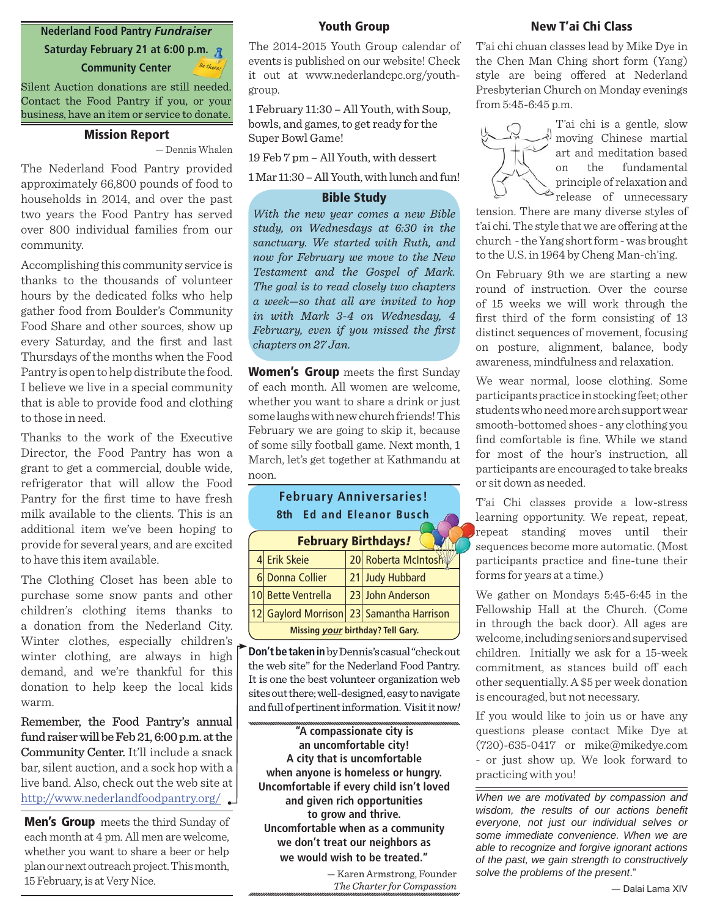## **Nederland Food Pantry** *Fundraiser*

**Saturday February 21 at 6:00 p.m. Community Center** *Be there!*

Silent Auction donations are still needed. Contact the Food Pantry if you, or your business, have an item or service to donate.

#### **Mission Report**

— Dennis Whalen

The Nederland Food Pantry provided approximately 66,800 pounds of food to households in 2014, and over the past two years the Food Pantry has served over 800 individual families from our community.

Accomplishing this community service is thanks to the thousands of volunteer hours by the dedicated folks who help gather food from Boulder's Community Food Share and other sources, show up every Saturday, and the first and last Thursdays of the months when the Food Pantry is open to help distribute the food. I believe we live in a special community that is able to provide food and clothing to those in need.

Thanks to the work of the Executive Director, the Food Pantry has won a grant to get a commercial, double wide, refrigerator that will allow the Food Pantry for the first time to have fresh milk available to the clients. This is an additional item we've been hoping to provide for several years, and are excited to have this item available.

The Clothing Closet has been able to purchase some snow pants and other children's clothing items thanks to a donation from the Nederland City. Winter clothes, especially children's winter clothing, are always in high demand, and we're thankful for this donation to help keep the local kids warm.

Remember, the Food Pantry's annual fund raiser will be Feb 21, 6:00 p.m. at the Community Center. It'll include a snack bar, silent auction, and a sock hop with a live band. Also, check out the web site at http://www.nederlandfoodpantry.org/

**Men's Group** meets the third Sunday of each month at 4 pm. All men are welcome, whether you want to share a beer or help plan our next outreach project. This month, 15 February, is at Very Nice.

#### **Youth Group**

The 2014-2015 Youth Group calendar of events is published on our website! Check it out at www.nederlandcpc.org/youthgroup.

1 February 11:30 – All Youth, with Soup, bowls, and games, to get ready for the Super Bowl Game!

19 Feb 7 pm – All Youth, with dessert

1 Mar 11:30 – All Youth, with lunch and fun!

## **Bible Study**

*With the new year comes a new Bible study, on Wednesdays at 6:30 in the sanctuary. We started with Ruth, and now for February we move to the New Testament and the Gospel of Mark. The goal is to read closely two chapters a week—so that all are invited to hop in with Mark 3-4 on Wednesday, 4*  February, even if you missed the first *chapters on 27 Jan.*

**Women's Group** meets the first Sunday of each month. All women are welcome, whether you want to share a drink or just some laughs with new church friends! This February we are going to skip it, because of some silly football game. Next month, 1 March, let's get together at Kathmandu at noon.

# **February Anniversaries! 8th Ed and Eleanor Busch ch**

| <b>February Birthdays!</b>               |                    |  |                                          |  |  |  |
|------------------------------------------|--------------------|--|------------------------------------------|--|--|--|
|                                          | 4 Erik Skeie       |  | 20 Roberta McIntosh                      |  |  |  |
|                                          | 6 Donna Collier    |  | 21 Judy Hubbard                          |  |  |  |
|                                          | 10 Bette Ventrella |  | 23 John Anderson                         |  |  |  |
|                                          |                    |  | 12 Gaylord Morrison 23 Samantha Harrison |  |  |  |
| Missing <i>your</i> birthday? Tell Gary. |                    |  |                                          |  |  |  |

**Don't be taken in** by Dennis's casual "check out the web site" for the Nederland Food Pantry. It is one the best volunteer organization web sites out there; well-designed, easy to navigate and full of pertinent information. Visit it now*!*

**"A compassionate city is an uncomfortable city! A city that is uncomfortable when anyone is homeless or hungry. Uncomfortable if every child isn't loved and given rich opportunities to grow and thrive. Uncomfortable when as a community we don't treat our neighbors as we would wish to be treated."**

> — Karen Armstrong, Founder *The Charter for Compassion*

#### **New T'ai Chi Class**

T'ai chi chuan classes lead by Mike Dye in the Chen Man Ching short form (Yang) style are being offered at Nederland Presbyterian Church on Monday evenings from 5:45-6:45 p.m.



T'ai chi is a gentle, slow moving Chinese martial art and meditation based on the fundamental principle of relaxation and  $\triangleright$  release of unnecessary

tension. There are many diverse styles of t'ai chi. The style that we are offering at the church - the Yang short form - was brought to the U.S. in 1964 by Cheng Man-ch'ing.

On February 9th we are starting a new round of instruction. Over the course of 15 weeks we will work through the first third of the form consisting of 13 distinct sequences of movement, focusing on posture, alignment, balance, body awareness, mindfulness and relaxation.

We wear normal, loose clothing. Some participants practice in stocking feet; other students who need more arch support wear smooth-bottomed shoes - any clothing you find comfortable is fine. While we stand for most of the hour's instruction, all participants are encouraged to take breaks or sit down as needed.

T'ai Chi classes provide a low-stress learning opportunity. We repeat, repeat, repeat standing moves until their sequences become more automatic. (Most participants practice and fine-tune their forms for years at a time.)

We gather on Mondays 5:45-6:45 in the Fellowship Hall at the Church. (Come in through the back door). All ages are welcome, including seniors and supervised children. Initially we ask for a 15-week commitment, as stances build off each other sequentially. A \$5 per week donation is encouraged, but not necessary.

If you would like to join us or have any questions please contact Mike Dye at (720)-635-0417 or mike@mikedye.com - or just show up. We look forward to practicing with you!

*When we are motivated by compassion and*  wisdom, the results of our actions benefit *everyone, not just our individual selves or some immediate convenience. When we are able to recognize and forgive ignorant actions of the past, we gain strength to constructively solve the problems of the present*."